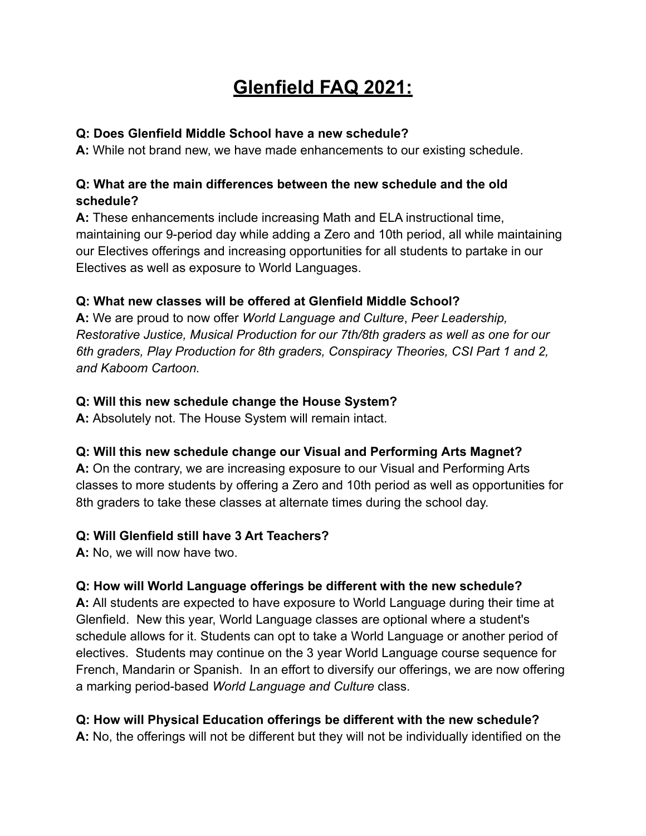# **Glenfield FAQ 2021:**

#### **Q: Does Glenfield Middle School have a new schedule?**

**A:** While not brand new, we have made enhancements to our existing schedule.

#### **Q: What are the main differences between the new schedule and the old schedule?**

**A:** These enhancements include increasing Math and ELA instructional time, maintaining our 9-period day while adding a Zero and 10th period, all while maintaining our Electives offerings and increasing opportunities for all students to partake in our Electives as well as exposure to World Languages.

# **Q: What new classes will be offered at Glenfield Middle School?**

**A:** We are proud to now offer *World Language and Culture*, *Peer Leadership, Restorative Justice, Musical Production for our 7th/8th graders as well as one for our 6th graders, Play Production for 8th graders, Conspiracy Theories, CSI Part 1 and 2, and Kaboom Cartoon.*

#### **Q: Will this new schedule change the House System?**

**A:** Absolutely not. The House System will remain intact.

# **Q: Will this new schedule change our Visual and Performing Arts Magnet?**

**A:** On the contrary, we are increasing exposure to our Visual and Performing Arts classes to more students by offering a Zero and 10th period as well as opportunities for 8th graders to take these classes at alternate times during the school day.

# **Q: Will Glenfield still have 3 Art Teachers?**

**A:** No, we will now have two.

# **Q: How will World Language offerings be different with the new schedule?**

**A:** All students are expected to have exposure to World Language during their time at Glenfield. New this year, World Language classes are optional where a student's schedule allows for it. Students can opt to take a World Language or another period of electives. Students may continue on the 3 year World Language course sequence for French, Mandarin or Spanish. In an effort to diversify our offerings, we are now offering a marking period-based *World Language and Culture* class.

# **Q: How will Physical Education offerings be different with the new schedule?**

**A:** No, the offerings will not be different but they will not be individually identified on the